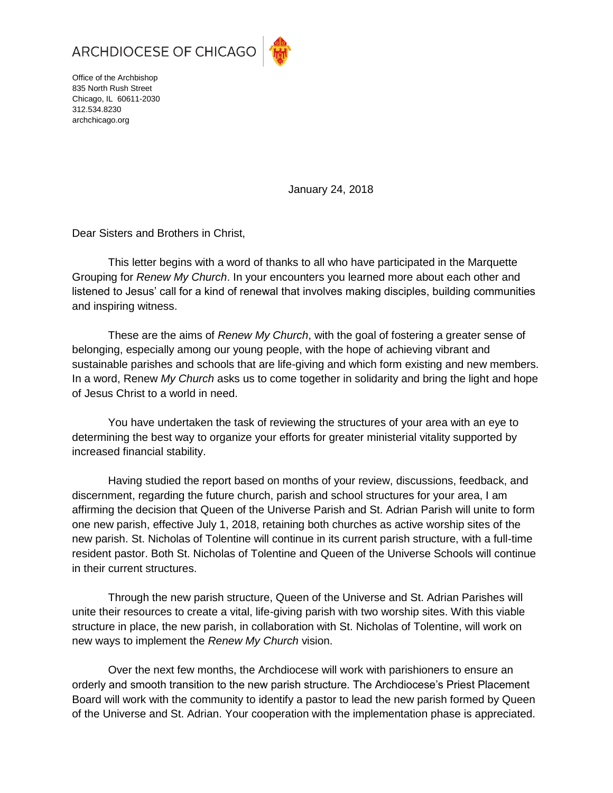

Office of the Archbishop 835 North Rush Street Chicago, IL 60611-2030 312.534.8230

archchicago.org

January 24, 2018

Dear Sisters and Brothers in Christ,

This letter begins with a word of thanks to all who have participated in the Marquette Grouping for *Renew My Church*. In your encounters you learned more about each other and listened to Jesus' call for a kind of renewal that involves making disciples, building communities and inspiring witness.

These are the aims of *Renew My Church*, with the goal of fostering a greater sense of belonging, especially among our young people, with the hope of achieving vibrant and sustainable parishes and schools that are life-giving and which form existing and new members. In a word, Renew *My Church* asks us to come together in solidarity and bring the light and hope of Jesus Christ to a world in need.

You have undertaken the task of reviewing the structures of your area with an eye to determining the best way to organize your efforts for greater ministerial vitality supported by increased financial stability.

Having studied the report based on months of your review, discussions, feedback, and discernment, regarding the future church, parish and school structures for your area, I am affirming the decision that Queen of the Universe Parish and St. Adrian Parish will unite to form one new parish, effective July 1, 2018, retaining both churches as active worship sites of the new parish. St. Nicholas of Tolentine will continue in its current parish structure, with a full-time resident pastor. Both St. Nicholas of Tolentine and Queen of the Universe Schools will continue in their current structures.

Through the new parish structure, Queen of the Universe and St. Adrian Parishes will unite their resources to create a vital, life-giving parish with two worship sites. With this viable structure in place, the new parish, in collaboration with St. Nicholas of Tolentine, will work on new ways to implement the *Renew My Church* vision.

Over the next few months, the Archdiocese will work with parishioners to ensure an orderly and smooth transition to the new parish structure. The Archdiocese's Priest Placement Board will work with the community to identify a pastor to lead the new parish formed by Queen of the Universe and St. Adrian. Your cooperation with the implementation phase is appreciated.